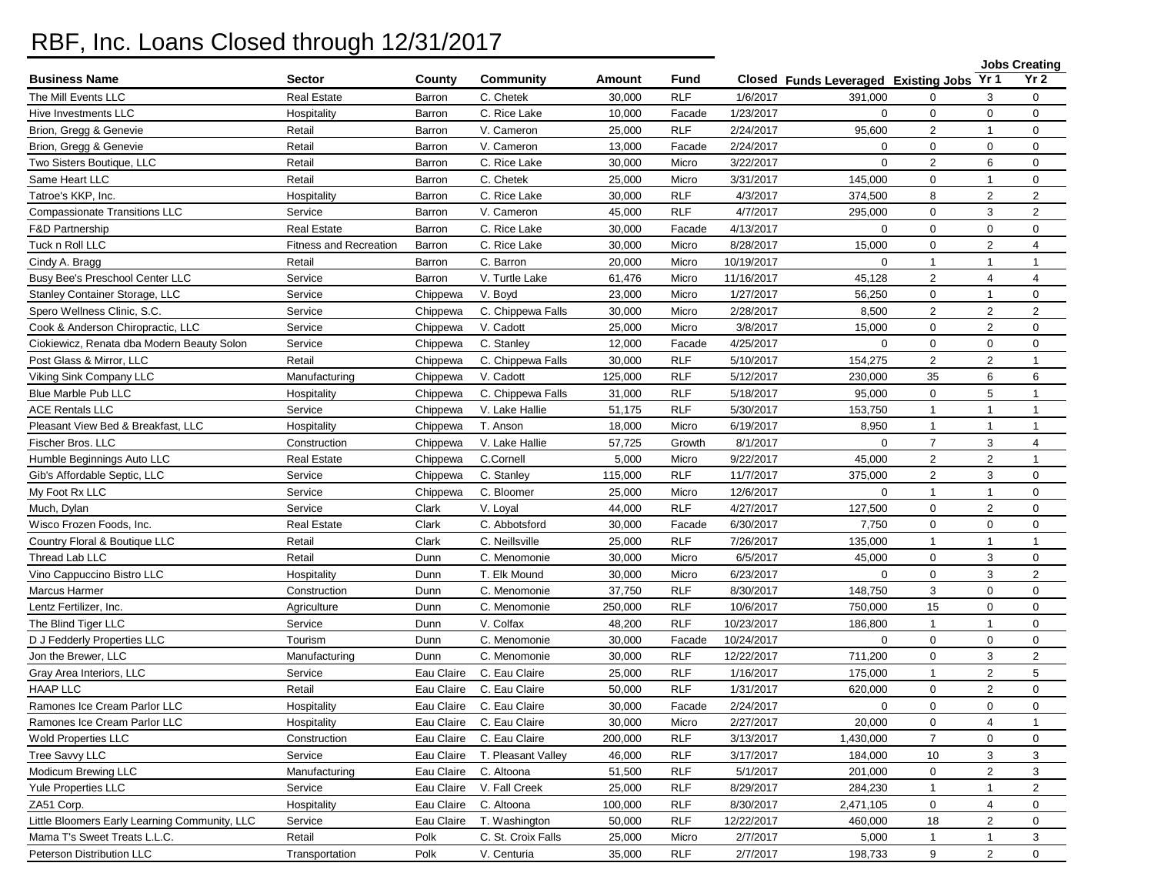## RBF, Inc. Loans Closed through 12/31/2017

|                                               |                        |            |                    |         |            |            |                                      |                | <b>Jobs Creating</b> |                |
|-----------------------------------------------|------------------------|------------|--------------------|---------|------------|------------|--------------------------------------|----------------|----------------------|----------------|
| <b>Business Name</b>                          | <b>Sector</b>          | County     | <b>Community</b>   | Amount  | Fund       |            | Closed Funds Leveraged Existing Jobs |                | Yr 1                 | Yr 2           |
| The Mill Events LLC                           | <b>Real Estate</b>     | Barron     | C. Chetek          | 30,000  | <b>RLF</b> | 1/6/2017   | 391,000                              | 0              | 3                    | 0              |
| Hive Investments LLC                          | Hospitality            | Barron     | C. Rice Lake       | 10,000  | Facade     | 1/23/2017  | $\mathbf 0$                          | $\mathbf 0$    | $\mathbf{0}$         | 0              |
| Brion, Gregg & Genevie                        | Retail                 | Barron     | V. Cameron         | 25,000  | <b>RLF</b> | 2/24/2017  | 95,600                               | $\overline{2}$ | $\overline{1}$       | $\mathbf 0$    |
| Brion, Gregg & Genevie                        | Retail                 | Barron     | V. Cameron         | 13,000  | Facade     | 2/24/2017  | $\mathbf 0$                          | $\mathbf 0$    | 0                    | 0              |
| Two Sisters Boutique, LLC                     | Retail                 | Barron     | C. Rice Lake       | 30,000  | Micro      | 3/22/2017  | $\mathbf 0$                          | 2              | 6                    | 0              |
| Same Heart LLC                                | Retail                 | Barron     | C. Chetek          | 25,000  | Micro      | 3/31/2017  | 145,000                              | $\mathbf 0$    | $\overline{1}$       | 0              |
| Tatroe's KKP, Inc.                            | Hospitality            | Barron     | C. Rice Lake       | 30,000  | <b>RLF</b> | 4/3/2017   | 374,500                              | 8              | $\overline{2}$       | $\overline{2}$ |
| <b>Compassionate Transitions LLC</b>          | Service                | Barron     | V. Cameron         | 45,000  | <b>RLF</b> | 4/7/2017   | 295,000                              | $\mathbf 0$    | 3                    | $\overline{2}$ |
| <b>F&amp;D Partnership</b>                    | Real Estate            | Barron     | C. Rice Lake       | 30,000  | Facade     | 4/13/2017  | $\mathbf 0$                          | $\mathbf 0$    | $\mathbf 0$          | 0              |
| Tuck n Roll LLC                               | Fitness and Recreation | Barron     | C. Rice Lake       | 30,000  | Micro      | 8/28/2017  | 15,000                               | $\mathbf 0$    | 2                    | 4              |
| Cindy A. Bragg                                | Retail                 | Barron     | C. Barron          | 20,000  | Micro      | 10/19/2017 | $\Omega$                             | $\mathbf{1}$   | $\overline{1}$       | $\mathbf{1}$   |
| Busy Bee's Preschool Center LLC               | Service                | Barron     | V. Turtle Lake     | 61,476  | Micro      | 11/16/2017 | 45,128                               | 2              | 4                    | $\overline{4}$ |
| Stanley Container Storage, LLC                | Service                | Chippewa   | V. Boyd            | 23,000  | Micro      | 1/27/2017  | 56,250                               | $\mathbf 0$    | $\overline{1}$       | 0              |
| Spero Wellness Clinic, S.C.                   | Service                | Chippewa   | C. Chippewa Falls  | 30,000  | Micro      | 2/28/2017  | 8,500                                | 2              | $\overline{2}$       | $\overline{2}$ |
| Cook & Anderson Chiropractic, LLC             | Service                | Chippewa   | V. Cadott          | 25,000  | Micro      | 3/8/2017   | 15,000                               | $\mathbf 0$    | $\overline{2}$       | $\mathbf 0$    |
| Ciokiewicz, Renata dba Modern Beauty Solon    | Service                | Chippewa   | C. Stanley         | 12,000  | Facade     | 4/25/2017  | $\mathbf 0$                          | $\mathbf 0$    | $\mathbf 0$          | $\mathbf 0$    |
| Post Glass & Mirror, LLC                      | Retail                 | Chippewa   | C. Chippewa Falls  | 30,000  | <b>RLF</b> | 5/10/2017  | 154,275                              | 2              | $\overline{2}$       | $\mathbf{1}$   |
| Viking Sink Company LLC                       | Manufacturing          | Chippewa   | V. Cadott          | 125,000 | <b>RLF</b> | 5/12/2017  | 230,000                              | 35             | 6                    | 6              |
| Blue Marble Pub LLC                           | Hospitality            | Chippewa   | C. Chippewa Falls  | 31,000  | <b>RLF</b> | 5/18/2017  | 95,000                               | $\mathbf 0$    | 5                    | $\mathbf{1}$   |
| <b>ACE Rentals LLC</b>                        | Service                | Chippewa   | V. Lake Hallie     | 51,175  | <b>RLF</b> | 5/30/2017  | 153,750                              | $\mathbf{1}$   | -1                   | $\mathbf{1}$   |
| Pleasant View Bed & Breakfast, LLC            | Hospitality            | Chippewa   | T. Anson           | 18,000  | Micro      | 6/19/2017  | 8,950                                | $\mathbf{1}$   | $\overline{1}$       | $\mathbf{1}$   |
| Fischer Bros. LLC                             | Construction           | Chippewa   | V. Lake Hallie     | 57,725  | Growth     | 8/1/2017   | $\mathbf 0$                          | $\overline{7}$ | 3                    | $\overline{4}$ |
| Humble Beginnings Auto LLC                    | <b>Real Estate</b>     | Chippewa   | C.Cornell          | 5,000   | Micro      | 9/22/2017  | 45,000                               | 2              | $\overline{2}$       | $\mathbf{1}$   |
| Gib's Affordable Septic, LLC                  | Service                | Chippewa   | C. Stanley         | 115,000 | <b>RLF</b> | 11/7/2017  | 375,000                              | 2              | 3                    | $\mathbf 0$    |
| My Foot Rx LLC                                | Service                | Chippewa   | C. Bloomer         | 25,000  | Micro      | 12/6/2017  | $\mathbf 0$                          | $\mathbf{1}$   | $\mathbf 1$          | 0              |
| Much, Dylan                                   | Service                | Clark      | V. Loyal           | 44,000  | <b>RLF</b> | 4/27/2017  | 127,500                              | $\mathbf 0$    | $\overline{2}$       | 0              |
| Wisco Frozen Foods, Inc.                      | <b>Real Estate</b>     | Clark      | C. Abbotsford      | 30,000  | Facade     | 6/30/2017  | 7,750                                | $\mathbf 0$    | $\mathbf{0}$         | 0              |
| Country Floral & Boutique LLC                 | Retail                 | Clark      | C. Neillsville     | 25,000  | <b>RLF</b> | 7/26/2017  | 135,000                              | $\mathbf{1}$   | $\overline{1}$       | $\mathbf{1}$   |
| Thread Lab LLC                                | Retail                 | Dunn       | C. Menomonie       | 30,000  | Micro      | 6/5/2017   | 45,000                               | $\mathbf 0$    | 3                    | $\mathbf 0$    |
| Vino Cappuccino Bistro LLC                    | Hospitality            | Dunn       | T. Elk Mound       | 30,000  | Micro      | 6/23/2017  | $\Omega$                             | $\mathbf 0$    | 3                    | $\sqrt{2}$     |
| Marcus Harmer                                 | Construction           | Dunn       | C. Menomonie       | 37,750  | <b>RLF</b> | 8/30/2017  | 148,750                              | 3              | $\mathbf 0$          | 0              |
| Lentz Fertilizer, Inc.                        | Agriculture            | Dunn       | C. Menomonie       | 250,000 | <b>RLF</b> | 10/6/2017  | 750,000                              | 15             | $\mathbf{0}$         | $\mathbf 0$    |
| The Blind Tiger LLC                           | Service                | Dunn       | V. Colfax          | 48,200  | <b>RLF</b> | 10/23/2017 | 186,800                              | $\mathbf{1}$   | $\overline{1}$       | $\mathbf 0$    |
| D J Fedderly Properties LLC                   | Tourism                | Dunn       | C. Menomonie       | 30,000  | Facade     | 10/24/2017 | $\mathbf 0$                          | $\mathbf 0$    | $\mathbf 0$          | $\mathbf 0$    |
| Jon the Brewer, LLC                           | Manufacturing          | Dunn       | C. Menomonie       | 30,000  | <b>RLF</b> | 12/22/2017 | 711,200                              | $\mathbf 0$    | 3                    | $\overline{2}$ |
| Gray Area Interiors, LLC                      | Service                | Eau Claire | C. Eau Claire      | 25,000  | <b>RLF</b> | 1/16/2017  | 175,000                              | $\mathbf{1}$   | $\overline{2}$       | 5              |
| <b>HAAP LLC</b>                               | Retail                 | Eau Claire | C. Eau Claire      | 50,000  | <b>RLF</b> | 1/31/2017  | 620,000                              | $\mathbf 0$    | $\overline{2}$       | 0              |
| Ramones Ice Cream Parlor LLC                  | Hospitality            | Eau Claire | C. Eau Claire      | 30,000  | Facade     | 2/24/2017  | 0                                    | $\mathbf 0$    | $\mathbf 0$          | $\mathbf 0$    |
| Ramones Ice Cream Parlor LLC                  | Hospitality            | Eau Claire | C. Eau Claire      | 30,000  | Micro      | 2/27/2017  | 20,000                               | 0              | 4                    | $\mathbf{1}$   |
| <b>Wold Properties LLC</b>                    | Construction           | Eau Claire | C. Eau Claire      | 200,000 | <b>RLF</b> | 3/13/2017  | 1,430,000                            | $\overline{7}$ | 0                    | 0              |
| Tree Savvy LLC                                | Service                | Eau Claire | T. Pleasant Valley | 46,000  | <b>RLF</b> | 3/17/2017  | 184,000                              | 10             | 3                    | 3              |
| Modicum Brewing LLC                           | Manufacturing          | Eau Claire | C. Altoona         | 51,500  | <b>RLF</b> | 5/1/2017   | 201,000                              | $\mathbf 0$    | $\overline{2}$       | 3              |
| <b>Yule Properties LLC</b>                    | Service                | Eau Claire | V. Fall Creek      | 25,000  | <b>RLF</b> | 8/29/2017  | 284,230                              | $\mathbf{1}$   | $\mathbf{1}$         | 2              |
| ZA51 Corp.                                    | Hospitality            | Eau Claire | C. Altoona         | 100,000 | <b>RLF</b> | 8/30/2017  | 2,471,105                            | 0              | 4                    | 0              |
| Little Bloomers Early Learning Community, LLC | Service                | Eau Claire | T. Washington      | 50,000  | <b>RLF</b> | 12/22/2017 | 460,000                              | 18             | 2                    | 0              |
| Mama T's Sweet Treats L.L.C.                  | Retail                 | Polk       | C. St. Croix Falls | 25,000  | Micro      | 2/7/2017   | 5,000                                | $\mathbf{1}$   | 1                    | 3              |
| Peterson Distribution LLC                     | Transportation         | Polk       | V. Centuria        | 35,000  | <b>RLF</b> | 2/7/2017   | 198,733                              | 9              | $\overline{2}$       | $\mathbf 0$    |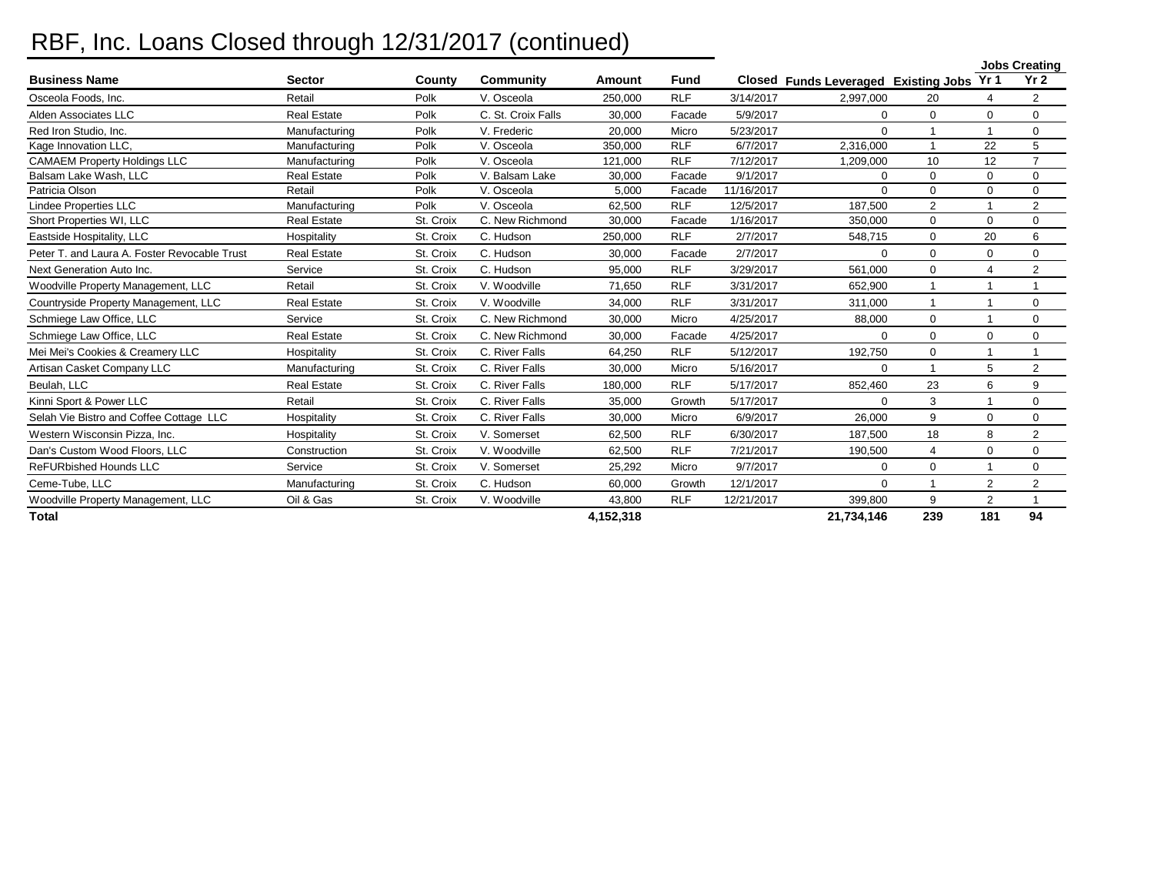## RBF, Inc. Loans Closed through 12/31/2017 (continued)

|                                              |                    |           |                    |           |             |            |                                           |                |                | <b>Jobs Creating</b> |
|----------------------------------------------|--------------------|-----------|--------------------|-----------|-------------|------------|-------------------------------------------|----------------|----------------|----------------------|
| <b>Business Name</b>                         | <b>Sector</b>      | County    | Community          | Amount    | <b>Fund</b> |            | Closed Funds Leveraged Existing Jobs Yr 1 |                |                | Yr <sub>2</sub>      |
| Osceola Foods, Inc.                          | Retail             | Polk      | V. Osceola         | 250.000   | <b>RLF</b>  | 3/14/2017  | 2,997,000                                 | 20             |                | $\overline{2}$       |
| Alden Associates LLC                         | <b>Real Estate</b> | Polk      | C. St. Croix Falls | 30.000    | Facade      | 5/9/2017   | $\Omega$                                  | $\Omega$       | $\Omega$       | $\Omega$             |
| Red Iron Studio, Inc.                        | Manufacturing      | Polk      | V. Frederic        | 20,000    | Micro       | 5/23/2017  | $\Omega$                                  |                |                | $\mathbf 0$          |
| Kage Innovation LLC,                         | Manufacturing      | Polk      | V. Osceola         | 350,000   | <b>RLF</b>  | 6/7/2017   | 2,316,000                                 | 1              | 22             | 5                    |
| <b>CAMAEM Property Holdings LLC</b>          | Manufacturing      | Polk      | V. Osceola         | 121,000   | <b>RLF</b>  | 7/12/2017  | 1,209,000                                 | 10             | 12             | $\overline{7}$       |
| Balsam Lake Wash, LLC                        | <b>Real Estate</b> | Polk      | V. Balsam Lake     | 30.000    | Facade      | 9/1/2017   | $\Omega$                                  | $\Omega$       | $\mathbf 0$    | $\mathbf 0$          |
| Patricia Olson                               | Retail             | Polk      | V. Osceola         | 5,000     | Facade      | 11/16/2017 | $\Omega$                                  | $\Omega$       | $\Omega$       | $\mathbf 0$          |
| Lindee Properties LLC                        | Manufacturing      | Polk      | V. Osceola         | 62,500    | <b>RLF</b>  | 12/5/2017  | 187,500                                   | $\overline{2}$ |                | $\overline{2}$       |
| Short Properties WI, LLC                     | <b>Real Estate</b> | St. Croix | C. New Richmond    | 30,000    | Facade      | 1/16/2017  | 350,000                                   | $\Omega$       | $\Omega$       | $\mathbf 0$          |
| Eastside Hospitality, LLC                    | Hospitality        | St. Croix | C. Hudson          | 250,000   | <b>RLF</b>  | 2/7/2017   | 548,715                                   | 0              | 20             | 6                    |
| Peter T. and Laura A. Foster Revocable Trust | <b>Real Estate</b> | St. Croix | C. Hudson          | 30,000    | Facade      | 2/7/2017   | $\Omega$                                  | 0              | 0              | $\mathbf 0$          |
| Next Generation Auto Inc.                    | Service            | St. Croix | C. Hudson          | 95.000    | <b>RLF</b>  | 3/29/2017  | 561.000                                   | $\Omega$       | Δ              | $\overline{2}$       |
| Woodville Property Management, LLC           | Retail             | St. Croix | V. Woodville       | 71,650    | <b>RLF</b>  | 3/31/2017  | 652,900                                   | 1              |                |                      |
| Countryside Property Management, LLC         | <b>Real Estate</b> | St. Croix | V. Woodville       | 34,000    | <b>RLF</b>  | 3/31/2017  | 311,000                                   | 1              |                | $\mathbf 0$          |
| Schmiege Law Office, LLC                     | Service            | St. Croix | C. New Richmond    | 30.000    | Micro       | 4/25/2017  | 88,000                                    | $\Omega$       |                | $\mathbf 0$          |
| Schmiege Law Office, LLC                     | <b>Real Estate</b> | St. Croix | C. New Richmond    | 30,000    | Facade      | 4/25/2017  | $\Omega$                                  | 0              | $\Omega$       | $\mathbf 0$          |
| Mei Mei's Cookies & Creamery LLC             | Hospitality        | St. Croix | C. River Falls     | 64,250    | <b>RLF</b>  | 5/12/2017  | 192,750                                   | $\Omega$       |                |                      |
| Artisan Casket Company LLC                   | Manufacturing      | St. Croix | C. River Falls     | 30,000    | Micro       | 5/16/2017  | $\Omega$                                  |                | 5              | $\overline{2}$       |
| Beulah, LLC                                  | <b>Real Estate</b> | St. Croix | C. River Falls     | 180,000   | <b>RLF</b>  | 5/17/2017  | 852.460                                   | 23             | 6              | 9                    |
| Kinni Sport & Power LLC                      | Retail             | St. Croix | C. River Falls     | 35,000    | Growth      | 5/17/2017  | $\Omega$                                  | 3              |                | $\mathbf 0$          |
| Selah Vie Bistro and Coffee Cottage LLC      | Hospitality        | St. Croix | C. River Falls     | 30.000    | Micro       | 6/9/2017   | 26.000                                    | 9              | $\Omega$       | $\mathbf 0$          |
| Western Wisconsin Pizza, Inc.                | Hospitality        | St. Croix | V. Somerset        | 62,500    | <b>RLF</b>  | 6/30/2017  | 187,500                                   | 18             | 8              | $\overline{2}$       |
| Dan's Custom Wood Floors, LLC                | Construction       | St. Croix | V. Woodville       | 62,500    | <b>RLF</b>  | 7/21/2017  | 190,500                                   | 4              | $\Omega$       | $\mathbf 0$          |
| <b>ReFURbished Hounds LLC</b>                | Service            | St. Croix | V. Somerset        | 25.292    | Micro       | 9/7/2017   | $\Omega$                                  | $\Omega$       |                | $\mathbf 0$          |
| Ceme-Tube, LLC                               | Manufacturing      | St. Croix | C. Hudson          | 60.000    | Growth      | 12/1/2017  | $\mathbf 0$                               |                | $\overline{2}$ | $\overline{2}$       |
| Woodville Property Management, LLC           | Oil & Gas          | St. Croix | V. Woodville       | 43,800    | <b>RLF</b>  | 12/21/2017 | 399,800                                   | 9              | $\overline{2}$ |                      |
| <b>Total</b>                                 |                    |           |                    | 4,152,318 |             |            | 21,734,146                                | 239            | 181            | 94                   |